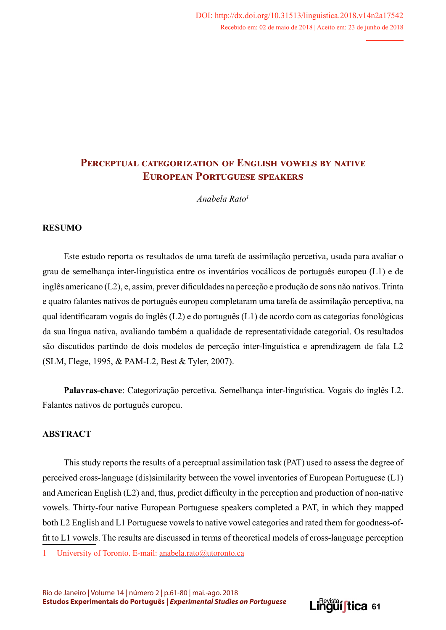*Anabela Rato1*

#### **RESUMO**

Este estudo reporta os resultados de uma tarefa de assimilação percetiva, usada para avaliar o grau de semelhança inter-linguística entre os inventários vocálicos de português europeu (L1) e de inglês americano (L2), e, assim, prever dificuldades na perceção e produção de sons não nativos. Trinta e quatro falantes nativos de português europeu completaram uma tarefa de assimilação perceptiva, na qual identificaram vogais do inglês (L2) e do português (L1) de acordo com as categorias fonológicas da sua língua nativa, avaliando também a qualidade de representatividade categorial. Os resultados são discutidos partindo de dois modelos de perceção inter-linguística e aprendizagem de fala L2 (SLM, Flege, 1995, & PAM-L2, Best & Tyler, 2007).

**Palavras-chave**: Categorização percetiva. Semelhança inter-linguística. Vogais do inglês L2. Falantes nativos de português europeu.

### **ABSTRACT**

This study reports the results of a perceptual assimilation task (PAT) used to assess the degree of perceived cross-language (dis)similarity between the vowel inventories of European Portuguese (L1) and American English (L2) and, thus, predict difficulty in the perception and production of non-native vowels. Thirty-four native European Portuguese speakers completed a PAT, in which they mapped both L2 English and L1 Portuguese vowels to native vowel categories and rated them for goodness-offit to L1 vowels. The results are discussed in terms of theoretical models of cross-language perception

1 University of Toronto. E-mail: anabela.rato@utoronto.ca

Rio de Janeiro | Volume 14 | número 2 | p.61-80 | mai.-ago. 2018 **Estudos Experimentais do Português |** *Experimental Studies on Portuguese*

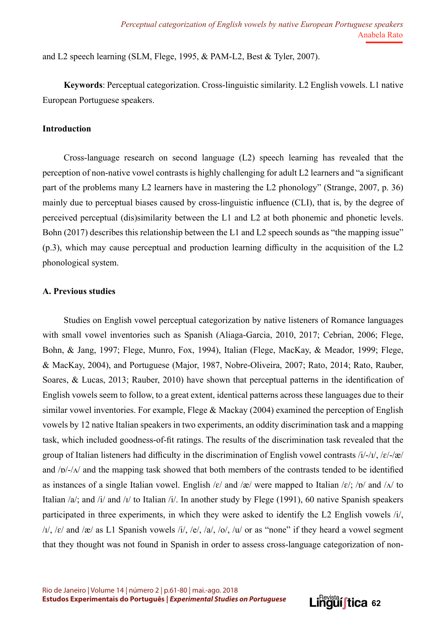and L2 speech learning (SLM, Flege, 1995, & PAM-L2, Best & Tyler, 2007).

**Keywords**: Perceptual categorization. Cross-linguistic similarity. L2 English vowels. L1 native European Portuguese speakers.

### **Introduction**

Cross-language research on second language (L2) speech learning has revealed that the perception of non-native vowel contrasts is highly challenging for adult L2 learners and "a significant part of the problems many L2 learners have in mastering the L2 phonology" (Strange, 2007, p. 36) mainly due to perceptual biases caused by cross-linguistic influence (CLI), that is, by the degree of perceived perceptual (dis)similarity between the L1 and L2 at both phonemic and phonetic levels. Bohn (2017) describes this relationship between the L1 and L2 speech sounds as "the mapping issue" (p.3), which may cause perceptual and production learning difficulty in the acquisition of the L2 phonological system.

#### **A. Previous studies**

Studies on English vowel perceptual categorization by native listeners of Romance languages with small vowel inventories such as Spanish (Aliaga-Garcia, 2010, 2017; Cebrian, 2006; Flege, Bohn, & Jang, 1997; Flege, Munro, Fox, 1994), Italian (Flege, MacKay, & Meador, 1999; Flege, & MacKay, 2004), and Portuguese (Major, 1987, Nobre-Oliveira, 2007; Rato, 2014; Rato, Rauber, Soares, & Lucas, 2013; Rauber, 2010) have shown that perceptual patterns in the identification of English vowels seem to follow, to a great extent, identical patterns across these languages due to their similar vowel inventories. For example, Flege & Mackay (2004) examined the perception of English vowels by 12 native Italian speakers in two experiments, an oddity discrimination task and a mapping task, which included goodness-of-fit ratings. The results of the discrimination task revealed that the group of Italian listeners had difficulty in the discrimination of English vowel contrasts  $/i/-1/$ ,  $/\varepsilon/-2\varepsilon$ and  $\sqrt{p}/\sqrt{a}$  and the mapping task showed that both members of the contrasts tended to be identified as instances of a single Italian vowel. English /ɛ/ and /æ/ were mapped to Italian /ɛ/; /ɒ/ and / $\Lambda$ / to Italian /a/; and /i/ and /i/ to Italian /i/. In another study by Flege (1991), 60 native Spanish speakers participated in three experiments, in which they were asked to identify the L2 English vowels /i/,  $/1/$ ,  $/ε/$  and  $/æ/$  as L1 Spanish vowels  $/1/$ ,  $/e/$ ,  $/a/$ ,  $/o/$ ,  $/u/$  or as "none" if they heard a vowel segment that they thought was not found in Spanish in order to assess cross-language categorization of non-

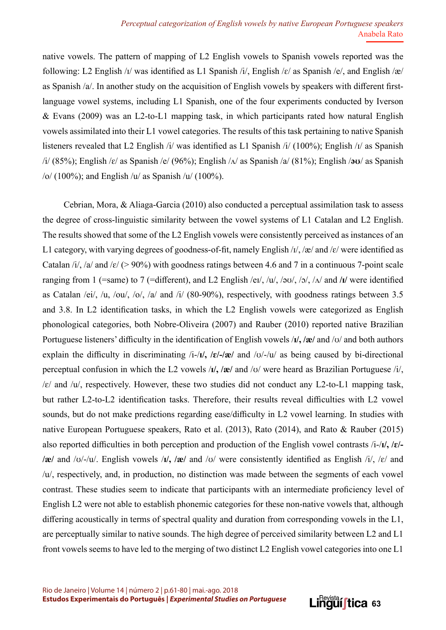native vowels. The pattern of mapping of L2 English vowels to Spanish vowels reported was the following: L2 English /ɪ/ was identified as L1 Spanish /i/, English /ɛ/ as Spanish /e/, and English /æ/ as Spanish /a/. In another study on the acquisition of English vowels by speakers with different firstlanguage vowel systems, including L1 Spanish, one of the four experiments conducted by Iverson & Evans (2009) was an L2-to-L1 mapping task, in which participants rated how natural English vowels assimilated into their L1 vowel categories. The results of this task pertaining to native Spanish listeners revealed that L2 English /i/ was identified as L1 Spanish /i/ (100%); English /ɪ/ as Spanish /i/ (85%); English /ɛ/ as Spanish /e/ (96%); English /ʌ/ as Spanish /a/ (81%); English /**əʊ**/ as Spanish  $/o/ (100\%)$ ; and English /u/ as Spanish /u/ (100%).

Cebrian, Mora, & Aliaga-Garcia (2010) also conducted a perceptual assimilation task to assess the degree of cross-linguistic similarity between the vowel systems of L1 Catalan and L2 English. The results showed that some of the L2 English vowels were consistently perceived as instances of an L1 category, with varying degrees of goodness-of-fit, namely English  $\frac{1}{x}$ ,  $\frac{1}{x}$  and  $\frac{1}{x}$  were identified as Catalan /i/, /a/ and / $\varepsilon$ / (> 90%) with goodness ratings between 4.6 and 7 in a continuous 7-point scale ranging from 1 (=same) to 7 (=different), and L2 English /eɪ/, /u/, /əʊ/, /ɔ/, /ʌ/ and **/ɪ/** were identified as Catalan /ei/, /u, /ou/, /o/, /a/ and /i/ (80-90%), respectively, with goodness ratings between 3.5 and 3.8. In L2 identification tasks, in which the L2 English vowels were categorized as English phonological categories, both Nobre-Oliveira (2007) and Rauber (2010) reported native Brazilian Portuguese listeners' difficulty in the identification of English vowels /**ɪ/, /æ/** and /ʊ/ and both authors explain the difficulty in discriminating /i-/**ɪ/, /ɛ/-/æ/** and /ʊ/-/u/ as being caused by bi-directional perceptual confusion in which the L2 vowels /**ɪ/, /æ/** and /ʊ/ were heard as Brazilian Portuguese /i/,  $\sqrt{\epsilon}$  and  $\sqrt{u}$ , respectively. However, these two studies did not conduct any L2-to-L1 mapping task, but rather L2-to-L2 identification tasks. Therefore, their results reveal difficulties with L2 vowel sounds, but do not make predictions regarding ease/difficulty in L2 vowel learning. In studies with native European Portuguese speakers, Rato et al. (2013), Rato (2014), and Rato & Rauber (2015) also reported difficulties in both perception and production of the English vowel contrasts /i-/**ɪ/, /ɛ/- /æ/** and /ʊ/-/u/. English vowels /**ɪ/, /æ/** and /ʊ/ were consistently identified as English /i/, /ɛ/ and /u/, respectively, and, in production, no distinction was made between the segments of each vowel contrast. These studies seem to indicate that participants with an intermediate proficiency level of English L2 were not able to establish phonemic categories for these non-native vowels that, although differing acoustically in terms of spectral quality and duration from corresponding vowels in the L1, are perceptually similar to native sounds. The high degree of perceived similarity between L2 and L1 front vowels seems to have led to the merging of two distinct L2 English vowel categories into one L1

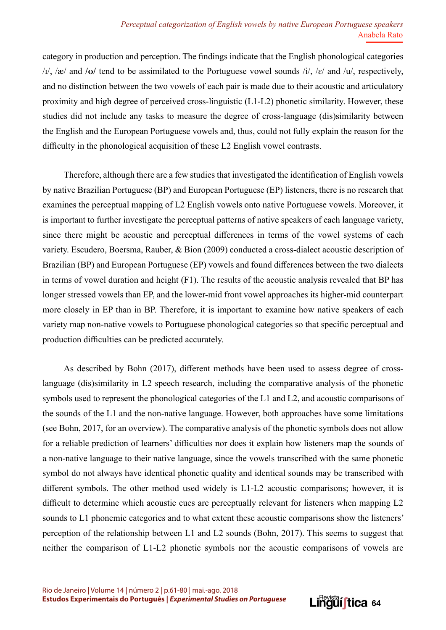category in production and perception. The findings indicate that the English phonological categories /ɪ/, /æ/ and **/ʊ/** tend to be assimilated to the Portuguese vowel sounds /i/, /ɛ/ and /u/, respectively, and no distinction between the two vowels of each pair is made due to their acoustic and articulatory proximity and high degree of perceived cross-linguistic (L1-L2) phonetic similarity. However, these studies did not include any tasks to measure the degree of cross-language (dis)similarity between the English and the European Portuguese vowels and, thus, could not fully explain the reason for the difficulty in the phonological acquisition of these L2 English vowel contrasts.

Therefore, although there are a few studies that investigated the identification of English vowels by native Brazilian Portuguese (BP) and European Portuguese (EP) listeners, there is no research that examines the perceptual mapping of L2 English vowels onto native Portuguese vowels. Moreover, it is important to further investigate the perceptual patterns of native speakers of each language variety, since there might be acoustic and perceptual differences in terms of the vowel systems of each variety. Escudero, Boersma, Rauber, & Bion (2009) conducted a cross-dialect acoustic description of Brazilian (BP) and European Portuguese (EP) vowels and found differences between the two dialects in terms of vowel duration and height (F1). The results of the acoustic analysis revealed that BP has longer stressed vowels than EP, and the lower-mid front vowel approaches its higher-mid counterpart more closely in EP than in BP. Therefore, it is important to examine how native speakers of each variety map non-native vowels to Portuguese phonological categories so that specific perceptual and production difficulties can be predicted accurately.

As described by Bohn (2017), different methods have been used to assess degree of crosslanguage (dis)similarity in L2 speech research, including the comparative analysis of the phonetic symbols used to represent the phonological categories of the L1 and L2, and acoustic comparisons of the sounds of the L1 and the non-native language. However, both approaches have some limitations (see Bohn, 2017, for an overview). The comparative analysis of the phonetic symbols does not allow for a reliable prediction of learners' difficulties nor does it explain how listeners map the sounds of a non-native language to their native language, since the vowels transcribed with the same phonetic symbol do not always have identical phonetic quality and identical sounds may be transcribed with different symbols. The other method used widely is L1-L2 acoustic comparisons; however, it is difficult to determine which acoustic cues are perceptually relevant for listeners when mapping L2 sounds to L1 phonemic categories and to what extent these acoustic comparisons show the listeners' perception of the relationship between L1 and L2 sounds (Bohn, 2017). This seems to suggest that neither the comparison of L1-L2 phonetic symbols nor the acoustic comparisons of vowels are

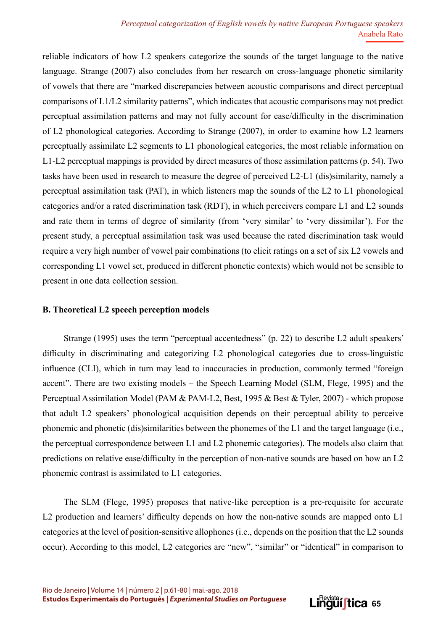reliable indicators of how L2 speakers categorize the sounds of the target language to the native language. Strange (2007) also concludes from her research on cross-language phonetic similarity of vowels that there are "marked discrepancies between acoustic comparisons and direct perceptual comparisons of L1/L2 similarity patterns", which indicates that acoustic comparisons may not predict perceptual assimilation patterns and may not fully account for ease/difficulty in the discrimination of L2 phonological categories. According to Strange (2007), in order to examine how L2 learners perceptually assimilate L2 segments to L1 phonological categories, the most reliable information on L1-L2 perceptual mappings is provided by direct measures of those assimilation patterns (p. 54). Two tasks have been used in research to measure the degree of perceived L2-L1 (dis)similarity, namely a perceptual assimilation task (PAT), in which listeners map the sounds of the L2 to L1 phonological categories and/or a rated discrimination task (RDT), in which perceivers compare L1 and L2 sounds and rate them in terms of degree of similarity (from 'very similar' to 'very dissimilar'). For the present study, a perceptual assimilation task was used because the rated discrimination task would require a very high number of vowel pair combinations (to elicit ratings on a set of six L2 vowels and corresponding L1 vowel set, produced in different phonetic contexts) which would not be sensible to present in one data collection session.

#### **B. Theoretical L2 speech perception models**

Strange (1995) uses the term "perceptual accentedness" (p. 22) to describe L2 adult speakers' difficulty in discriminating and categorizing L2 phonological categories due to cross-linguistic influence (CLI), which in turn may lead to inaccuracies in production, commonly termed "foreign accent". There are two existing models – the Speech Learning Model (SLM, Flege, 1995) and the Perceptual Assimilation Model (PAM & PAM-L2, Best, 1995 & Best & Tyler, 2007) - which propose that adult L2 speakers' phonological acquisition depends on their perceptual ability to perceive phonemic and phonetic (dis)similarities between the phonemes of the L1 and the target language (i.e., the perceptual correspondence between L1 and L2 phonemic categories). The models also claim that predictions on relative ease/difficulty in the perception of non-native sounds are based on how an L2 phonemic contrast is assimilated to L1 categories.

The SLM (Flege, 1995) proposes that native-like perception is a pre-requisite for accurate L2 production and learners' difficulty depends on how the non-native sounds are mapped onto L1 categories at the level of position-sensitive allophones (i.e., depends on the position that the L2 sounds occur). According to this model, L2 categories are "new", "similar" or "identical" in comparison to

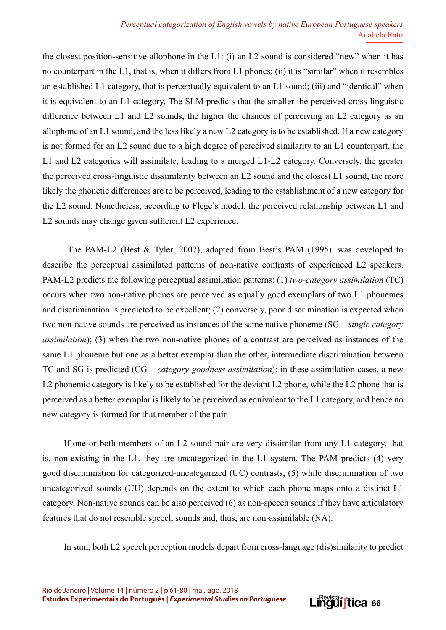the closest position-sensitive allophone in the L1: (i) an L2 sound is considered "new" when it has no counterpart in the L1, that is, when it differs from L1 phones; (ii) it is "similar" when it resembles an established L1 category, that is perceptually equivalent to an L1 sound; (iii) and "identical" when it is equivalent to an L1 category. The SLM predicts that the smaller the perceived cross-linguistic difference between L1 and L2 sounds, the higher the chances of perceiving an L2 category as an allophone of an L1 sound, and the less likely a new L2 category is to be established. If a new category is not formed for an L2 sound due to a high degree of perceived similarity to an L1 counterpart, the L1 and L2 categories will assimilate, leading to a merged L1-L2 category. Conversely, the greater the perceived cross-linguistic dissimilarity between an L2 sound and the closest L1 sound, the more likely the phonetic differences are to be perceived, leading to the establishment of a new category for the L2 sound. Nonetheless, according to Flege's model, the perceived relationship between L1 and L2 sounds may change given sufficient L2 experience.

 The PAM-L2 (Best & Tyler, 2007), adapted from Best's PAM (1995), was developed to describe the perceptual assimilated patterns of non-native contrasts of experienced L2 speakers. PAM-L2 predicts the following perceptual assimilation patterns: (1) *two-category assimilation* (TC) occurs when two non-native phones are perceived as equally good exemplars of two L1 phonemes and discrimination is predicted to be excellent; (2) conversely, poor discrimination is expected when two non-native sounds are perceived as instances of the same native phoneme (SG – *single category assimilation*); (3) when the two non-native phones of a contrast are perceived as instances of the same L1 phoneme but one as a better exemplar than the other, intermediate discrimination between TC and SG is predicted (CG – *category-goodness assimilation*); in these assimilation cases, a new L2 phonemic category is likely to be established for the deviant L2 phone, while the L2 phone that is perceived as a better exemplar is likely to be perceived as equivalent to the L1 category, and hence no new category is formed for that member of the pair.

If one or both members of an L2 sound pair are very dissimilar from any L1 category, that is, non-existing in the L1, they are uncategorized in the L1 system. The PAM predicts (4) very good discrimination for categorized-uncategorized (UC) contrasts, (5) while discrimination of two uncategorized sounds (UU) depends on the extent to which each phone maps onto a distinct L1 category. Non-native sounds can be also perceived (6) as non-speech sounds if they have articulatory features that do not resemble speech sounds and, thus, are non-assimilable (NA).

In sum, both L2 speech perception models depart from cross-language (dis)similarity to predict

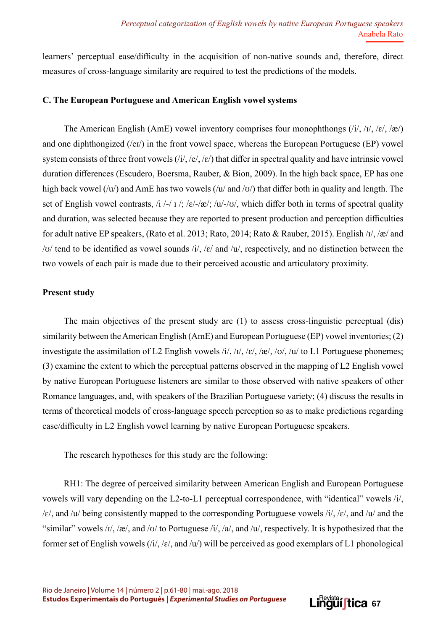learners' perceptual ease/difficulty in the acquisition of non‐native sounds and, therefore, direct measures of cross-language similarity are required to test the predictions of the models.

### **C. The European Portuguese and American English vowel systems**

The American English (AmE) vowel inventory comprises four monophthongs  $(i/$ ,  $(i/$ ,  $(i/$ ,  $(\varepsilon/$ ,  $\gg$ and one diphthongized (/eɪ/) in the front vowel space, whereas the European Portuguese (EP) vowel system consists of three front vowels (/i/, /e/, /ɛ/) that differ in spectral quality and have intrinsic vowel duration differences (Escudero, Boersma, Rauber, & Bion, 2009). In the high back space, EP has one high back vowel  $(vu)$  and AmE has two vowels  $(vu)$  and  $(vv)$  that differ both in quality and length. The set of English vowel contrasts, /i /-/  $\frac{1}{s}$  / $\varepsilon$ / $\frac{1}{s}$ / $\frac{1}{s}$ / $\frac{1}{s}$ / $\frac{1}{s}$ / $\frac{1}{s}$ / $\frac{1}{s}$ / $\frac{1}{s}$ / $\frac{1}{s}$ / $\frac{1}{s}$ / $\frac{1}{s}$ / $\frac{1}{s}$ / $\frac{1}{s}$ / $\frac{1}{s}$ / $\frac{1}{s}$ / $\frac{1}{s}$ / $\frac{1}{s}$ / $\frac{1$ and duration, was selected because they are reported to present production and perception difficulties for adult native EP speakers, (Rato et al. 2013; Rato, 2014; Rato & Rauber, 2015). English /ɪ/, /æ/ and / $u$ / tend to be identified as vowel sounds /i/, / $\varepsilon$ / and / $u$ /, respectively, and no distinction between the two vowels of each pair is made due to their perceived acoustic and articulatory proximity.

#### **Present study**

The main objectives of the present study are (1) to assess cross-linguistic perceptual (dis) similarity between the American English (AmE) and European Portuguese (EP) vowel inventories; (2) investigate the assimilation of L2 English vowels /i/, / $I$ /, / $\varepsilon$ /, / $\alpha$ /, / $U$ , / $U$ , / $U$  to L1 Portuguese phonemes; (3) examine the extent to which the perceptual patterns observed in the mapping of L2 English vowel by native European Portuguese listeners are similar to those observed with native speakers of other Romance languages, and, with speakers of the Brazilian Portuguese variety; (4) discuss the results in terms of theoretical models of cross-language speech perception so as to make predictions regarding ease/difficulty in L2 English vowel learning by native European Portuguese speakers.

The research hypotheses for this study are the following:

RH1: The degree of perceived similarity between American English and European Portuguese vowels will vary depending on the L2-to-L1 perceptual correspondence, with "identical" vowels /i/,  $\sqrt{\varepsilon}$ , and  $\sqrt{\frac{u}{\varepsilon}}$  consistently mapped to the corresponding Portuguese vowels  $\sqrt{i}$ ,  $\sqrt{\varepsilon}$ , and  $\sqrt{\frac{u}{\varepsilon}}$  and the "similar" vowels  $\frac{1}{\sqrt{2}}$ , and  $\frac{1}{\sqrt{2}}$  to Portuguese  $\frac{1}{\sqrt{2}}$ , and  $\frac{1}{\sqrt{2}}$ , respectively. It is hypothesized that the former set of English vowels  $(i/$ , / $\varepsilon$ /, and /u/) will be perceived as good exemplars of L1 phonological

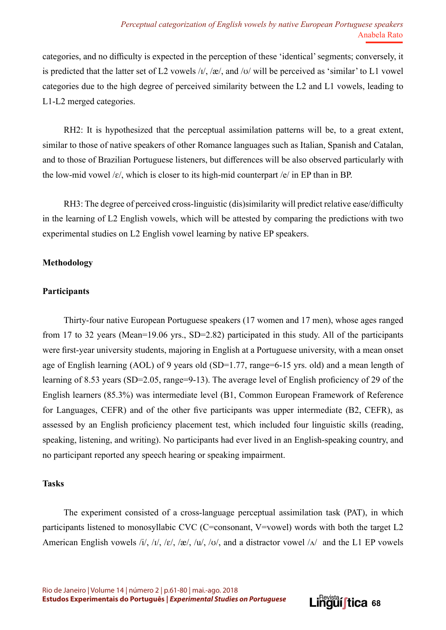categories, and no difficulty is expected in the perception of these 'identical' segments; conversely, it is predicted that the latter set of L2 vowels /ɪ/, /æ/, and /ʊ/ will be perceived as 'similar' to L1 vowel categories due to the high degree of perceived similarity between the L2 and L1 vowels, leading to L1-L2 merged categories.

RH2: It is hypothesized that the perceptual assimilation patterns will be, to a great extent, similar to those of native speakers of other Romance languages such as Italian, Spanish and Catalan, and to those of Brazilian Portuguese listeners, but differences will be also observed particularly with the low-mid vowel / $\varepsilon$ /, which is closer to its high-mid counterpart / $\varepsilon$ / in EP than in BP.

RH3: The degree of perceived cross-linguistic (dis)similarity will predict relative ease/difficulty in the learning of L2 English vowels, which will be attested by comparing the predictions with two experimental studies on L2 English vowel learning by native EP speakers.

# **Methodology**

# **Participants**

Thirty-four native European Portuguese speakers (17 women and 17 men), whose ages ranged from 17 to 32 years (Mean=19.06 yrs., SD=2.82) participated in this study. All of the participants were first-year university students, majoring in English at a Portuguese university, with a mean onset age of English learning (AOL) of 9 years old (SD=1.77, range=6-15 yrs. old) and a mean length of learning of 8.53 years (SD=2.05, range=9-13). The average level of English proficiency of 29 of the English learners (85.3%) was intermediate level (B1, Common European Framework of Reference for Languages, CEFR) and of the other five participants was upper intermediate (B2, CEFR), as assessed by an English proficiency placement test, which included four linguistic skills (reading, speaking, listening, and writing). No participants had ever lived in an English-speaking country, and no participant reported any speech hearing or speaking impairment.

# **Tasks**

The experiment consisted of a cross-language perceptual assimilation task (PAT), in which participants listened to monosyllabic CVC (C=consonant, V=vowel) words with both the target L2 American English vowels /i/, /i/, /ɛ/, /æ/, /u/, /ʊ/, and a distractor vowel / $\Lambda$ / and the L1 EP vowels

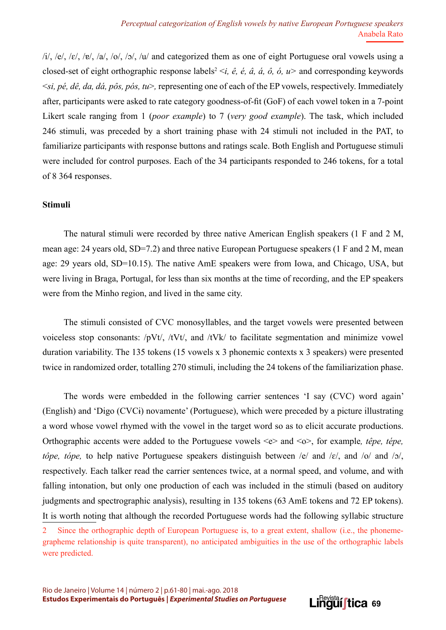$\frac{1}{\sqrt{2}}$ ,  $\frac{1}{\sqrt{6}}$ ,  $\frac{1}{\sqrt{6}}$ ,  $\frac{1}{\sqrt{6}}$ ,  $\frac{1}{\sqrt{2}}$ ,  $\frac{1}{\sqrt{6}}$  and categorized them as one of eight Portuguese oral vowels using a closed-set of eight orthographic response labels<sup>2</sup>  $\leq i$ , *ê*, *ê*, *â*, *â*, *ô*, *ó*, *u* > and corresponding keywords <*si, pé, dê, da, dá, pôs, pós, tu*>*,* representing one of each of the EP vowels, respectively. Immediately after, participants were asked to rate category goodness-of-fit (GoF) of each vowel token in a 7-point Likert scale ranging from 1 (*poor example*) to 7 (*very good example*). The task, which included 246 stimuli, was preceded by a short training phase with 24 stimuli not included in the PAT, to familiarize participants with response buttons and ratings scale. Both English and Portuguese stimuli were included for control purposes. Each of the 34 participants responded to 246 tokens, for a total of 8 364 responses.

### **Stimuli**

The natural stimuli were recorded by three native American English speakers (1 F and 2 M, mean age: 24 years old, SD=7.2) and three native European Portuguese speakers (1 F and 2 M, mean age: 29 years old, SD=10.15). The native AmE speakers were from Iowa, and Chicago, USA, but were living in Braga, Portugal, for less than six months at the time of recording, and the EP speakers were from the Minho region, and lived in the same city.

The stimuli consisted of CVC monosyllables, and the target vowels were presented between voiceless stop consonants: /pVt/, /tVt/, and /tVk/ to facilitate segmentation and minimize vowel duration variability. The 135 tokens (15 vowels x 3 phonemic contexts x 3 speakers) were presented twice in randomized order, totalling 270 stimuli, including the 24 tokens of the familiarization phase.

The words were embedded in the following carrier sentences 'I say (CVC) word again' (English) and 'Digo (CVCɨ) novamente' (Portuguese), which were preceded by a picture illustrating a word whose vowel rhymed with the vowel in the target word so as to elicit accurate productions. Orthographic accents were added to the Portuguese vowels <e> and <o>, for example*, têpe, tépe, tôpe, tópe,* to help native Portuguese speakers distinguish between /e/ and /ɛ/, and /o/ and /ɔ/, respectively. Each talker read the carrier sentences twice, at a normal speed, and volume, and with falling intonation, but only one production of each was included in the stimuli (based on auditory judgments and spectrographic analysis), resulting in 135 tokens (63 AmE tokens and 72 EP tokens). It is worth noting that although the recorded Portuguese words had the following syllabic structure



<sup>2</sup> Since the orthographic depth of European Portuguese is, to a great extent, shallow (i.e., the phonemegrapheme relationship is quite transparent), no anticipated ambiguities in the use of the orthographic labels were predicted.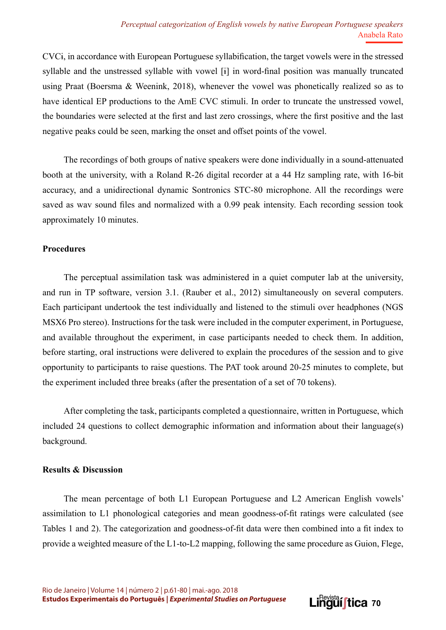CVCɨ, in accordance with European Portuguese syllabification, the target vowels were in the stressed syllable and the unstressed syllable with vowel [ɨ] in word-final position was manually truncated using Praat (Boersma & Weenink, 2018), whenever the vowel was phonetically realized so as to have identical EP productions to the AmE CVC stimuli. In order to truncate the unstressed vowel, the boundaries were selected at the first and last zero crossings, where the first positive and the last negative peaks could be seen, marking the onset and offset points of the vowel.

The recordings of both groups of native speakers were done individually in a sound-attenuated booth at the university, with a Roland R-26 digital recorder at a 44 Hz sampling rate, with 16-bit accuracy, and a unidirectional dynamic Sontronics STC-80 microphone. All the recordings were saved as wav sound files and normalized with a 0.99 peak intensity. Each recording session took approximately 10 minutes.

#### **Procedures**

The perceptual assimilation task was administered in a quiet computer lab at the university, and run in TP software, version 3.1. (Rauber et al., 2012) simultaneously on several computers. Each participant undertook the test individually and listened to the stimuli over headphones (NGS MSX6 Pro stereo). Instructions for the task were included in the computer experiment, in Portuguese, and available throughout the experiment, in case participants needed to check them. In addition, before starting, oral instructions were delivered to explain the procedures of the session and to give opportunity to participants to raise questions. The PAT took around 20-25 minutes to complete, but the experiment included three breaks (after the presentation of a set of 70 tokens).

After completing the task, participants completed a questionnaire, written in Portuguese, which included 24 questions to collect demographic information and information about their language(s) background.

#### **Results & Discussion**

The mean percentage of both L1 European Portuguese and L2 American English vowels' assimilation to L1 phonological categories and mean goodness-of-fit ratings were calculated (see Tables 1 and 2). The categorization and goodness-of-fit data were then combined into a fit index to provide a weighted measure of the L1-to-L2 mapping, following the same procedure as Guion, Flege,

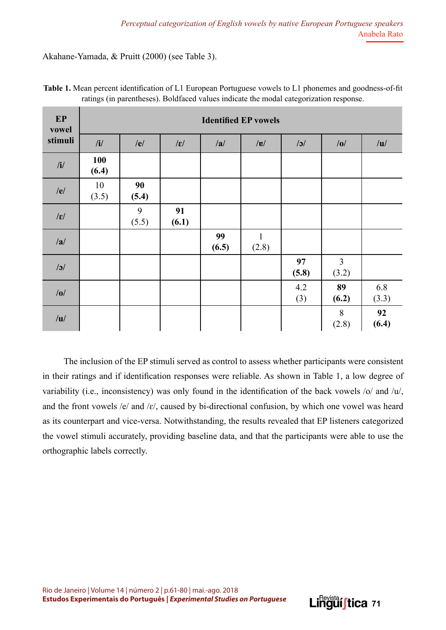Akahane-Yamada, & Pruitt (2000) (see Table 3).

| EP<br>vowel     | <b>Identified EP vowels</b> |             |                 |             |                       |             |                         |              |
|-----------------|-----------------------------|-------------|-----------------|-------------|-----------------------|-------------|-------------------------|--------------|
| stimuli         | /i/                         | /e/         | $ \varepsilon $ | /a/         | $ {\bf g} $           | $\sqrt{3}$  | /0/                     | /u/          |
| /i/             | <b>100</b><br>(6.4)         |             |                 |             |                       |             |                         |              |
| /e/             | 10<br>(3.5)                 | 90<br>(5.4) |                 |             |                       |             |                         |              |
| $ \varepsilon $ |                             | 9<br>(5.5)  | 91<br>(6.1)     |             |                       |             |                         |              |
| /a/             |                             |             |                 | 99<br>(6.5) | $\mathbf{1}$<br>(2.8) |             |                         |              |
| $\sqrt{3}$      |                             |             |                 |             |                       | 97<br>(5.8) | $\overline{3}$<br>(3.2) |              |
| /0/             |                             |             |                 |             |                       | 4.2<br>(3)  | 89<br>(6.2)             | 6.8<br>(3.3) |
| /u/             |                             |             |                 |             |                       |             | 8<br>(2.8)              | 92<br>(6.4)  |

**Table 1.** Mean percent identification of L1 European Portuguese vowels to L1 phonemes and goodness-of-fit ratings (in parentheses). Boldfaced values indicate the modal categorization response.

The inclusion of the EP stimuli served as control to assess whether participants were consistent in their ratings and if identification responses were reliable. As shown in Table 1, a low degree of variability (i.e., inconsistency) was only found in the identification of the back vowels /o/ and /u/, and the front vowels /e/ and / $\varepsilon$ /, caused by bi-directional confusion, by which one vowel was heard as its counterpart and vice-versa. Notwithstanding, the results revealed that EP listeners categorized the vowel stimuli accurately, providing baseline data, and that the participants were able to use the orthographic labels correctly.

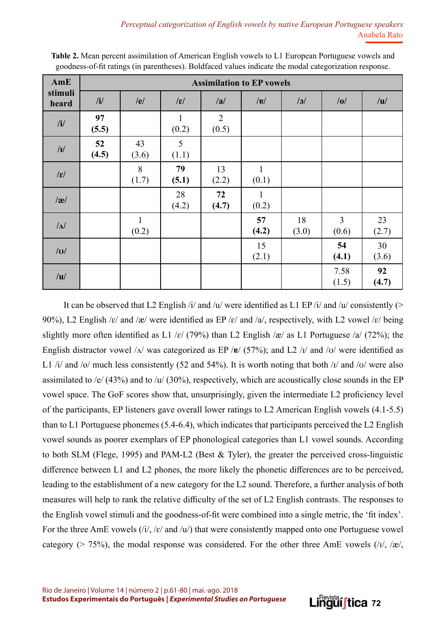| AmE              | <b>Assimilation to EP vowels</b> |                       |                       |                         |                       |             |               |             |
|------------------|----------------------------------|-----------------------|-----------------------|-------------------------|-----------------------|-------------|---------------|-------------|
| stimuli<br>heard | /i/                              | /e/                   | $ \mathbf{E} $        | /a/                     | $ {\bf g} $           | $\sqrt{3}$  | /0/           | /u/         |
| $\mathbf{i}$     | 97<br>(5.5)                      |                       | $\mathbf{1}$<br>(0.2) | $\overline{2}$<br>(0.5) |                       |             |               |             |
| $\sqrt{I}$       | 52<br>(4.5)                      | 43<br>(3.6)           | 5<br>(1.1)            |                         |                       |             |               |             |
| $ \mathbf{g} $   |                                  | 8<br>(1.7)            | 79<br>(5.1)           | 13<br>(2.2)             | $\mathbf{1}$<br>(0.1) |             |               |             |
| $\alpha$         |                                  |                       | 28<br>(4.2)           | 72<br>(4.7)             | $\mathbf{1}$<br>(0.2) |             |               |             |
| $\Lambda$        |                                  | $\mathbf{1}$<br>(0.2) |                       |                         | 57<br>(4.2)           | 18<br>(3.0) | 3<br>(0.6)    | 23<br>(2.7) |
| U                |                                  |                       |                       |                         | 15<br>(2.1)           |             | 54<br>(4.1)   | 30<br>(3.6) |
| /u/              |                                  |                       |                       |                         |                       |             | 7.58<br>(1.5) | 92<br>(4.7) |

**Table 2.** Mean percent assimilation of American English vowels to L1 European Portuguese vowels and goodness-of-fit ratings (in parentheses). Boldfaced values indicate the modal categorization response.

It can be observed that L2 English /i/ and /u/ were identified as L1 EP /i/ and /u/ consistently (> 90%), L2 English / $\varepsilon$ / and /æ/ were identified as EP / $\varepsilon$ / and /a/, respectively, with L2 vowel / $\varepsilon$ / being slightly more often identified as L1 / $\varepsilon$ / (79%) than L2 English /æ/ as L1 Portuguese /a/ (72%); the English distractor vowel / $\Lambda$ / was categorized as EP /**ɐ**/ (57%); and L2 / $\Lambda$ / and / $\sigma$ / were identified as L1 /i/ and /o/ much less consistently (52 and 54%). It is worth noting that both / $\frac{1}{a}$  and / $\frac{1}{b}$  were also assimilated to /e/ (43%) and to /u/ (30%), respectively, which are acoustically close sounds in the EP vowel space. The GoF scores show that, unsurprisingly, given the intermediate L2 proficiency level of the participants, EP listeners gave overall lower ratings to L2 American English vowels (4.1-5.5) than to L1 Portuguese phonemes (5.4-6.4), which indicates that participants perceived the L2 English vowel sounds as poorer exemplars of EP phonological categories than L1 vowel sounds. According to both SLM (Flege, 1995) and PAM-L2 (Best & Tyler), the greater the perceived cross-linguistic difference between L1 and L2 phones, the more likely the phonetic differences are to be perceived, leading to the establishment of a new category for the L2 sound. Therefore, a further analysis of both measures will help to rank the relative difficulty of the set of L2 English contrasts. The responses to the English vowel stimuli and the goodness-of-fit were combined into a single metric, the 'fit index'. For the three AmE vowels  $(i/$ , / $\varepsilon$ / and /u/) that were consistently mapped onto one Portuguese vowel category ( $> 75\%$ ), the modal response was considered. For the other three AmE vowels (/ $\mu$ , / $\alpha$ ),

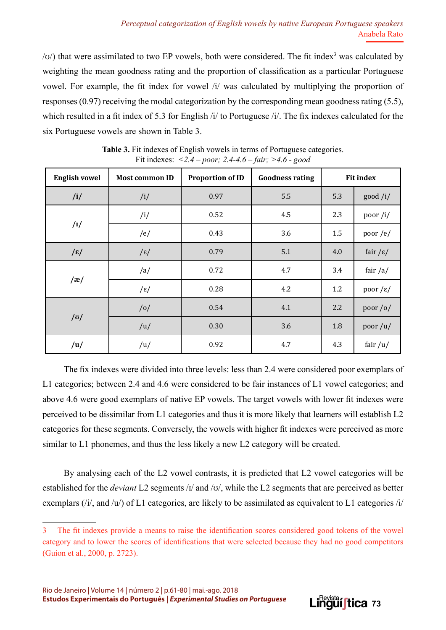$\langle v \rangle$ ) that were assimilated to two EP vowels, both were considered. The fit index<sup>3</sup> was calculated by weighting the mean goodness rating and the proportion of classification as a particular Portuguese vowel. For example, the fit index for vowel /i/ was calculated by multiplying the proportion of responses (0.97) receiving the modal categorization by the corresponding mean goodness rating (5.5), which resulted in a fit index of 5.3 for English /i/ to Portuguese /i/. The fix indexes calculated for the six Portuguese vowels are shown in Table 3.

| <b>English vowel</b> | <b>Most common ID</b> | <b>Proportion of ID</b> | <b>Goodness rating</b> | <b>Fit index</b> |                        |
|----------------------|-----------------------|-------------------------|------------------------|------------------|------------------------|
| /i/                  | /i/                   | 0.97                    | 5.5                    | 5.3              | good /i/               |
|                      | /i/                   | 0.52                    | 4.5                    | 2.3              | poor/i/                |
| /1/                  | /e/                   | 0.43                    | 3.6                    | 1.5              | poor / $e$ /           |
| $/\epsilon/$         | $/\epsilon/$          | 0.79                    | 5.1                    | 4.0              | fair / $\varepsilon$ / |
|                      | /a/                   | 0.72                    | 4.7                    | 3.4              | fair $/a/$             |
| $/\mathbf{a}/$       | $/\varepsilon/$       | 0.28                    | 4.2                    | 1.2              | poor $/\varepsilon$ /  |
|                      | /0/                   | 0.54                    | 4.1                    | 2.2              | poor /o/               |
| $/\sigma/$           | /u/                   | 0.30                    | 3.6                    | 1.8              | poor/u/                |
| /u/                  | /u/                   | 0.92                    | 4.7                    | 4.3              | fair $/u/$             |

**Table 3.** Fit indexes of English vowels in terms of Portuguese categories. Fit indexes: *<2.4 – poor; 2.4-4.6 – fair; >4.6 - good* 

The fix indexes were divided into three levels: less than 2.4 were considered poor exemplars of L1 categories; between 2.4 and 4.6 were considered to be fair instances of L1 vowel categories; and above 4.6 were good exemplars of native EP vowels. The target vowels with lower fit indexes were perceived to be dissimilar from L1 categories and thus it is more likely that learners will establish L2 categories for these segments. Conversely, the vowels with higher fit indexes were perceived as more similar to L1 phonemes, and thus the less likely a new L2 category will be created.

By analysing each of the L2 vowel contrasts, it is predicted that L2 vowel categories will be established for the *deviant* L2 segments /ɪ/ and /ʊ/, while the L2 segments that are perceived as better exemplars (/i/, and /u/) of L1 categories, are likely to be assimilated as equivalent to L1 categories /i/



<sup>3</sup> The fit indexes provide a means to raise the identification scores considered good tokens of the vowel category and to lower the scores of identifications that were selected because they had no good competitors (Guion et al., 2000, p. 2723).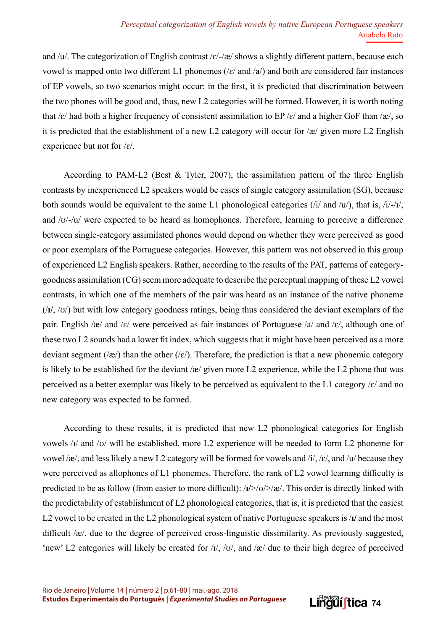and /u/. The categorization of English contrast / $\varepsilon$ /-/æ/ shows a slightly different pattern, because each vowel is mapped onto two different L1 phonemes ( $\sqrt{\epsilon}$  and  $\sqrt{\frac{a}{\epsilon}}$ ) and both are considered fair instances of EP vowels, so two scenarios might occur: in the first, it is predicted that discrimination between the two phones will be good and, thus, new L2 categories will be formed. However, it is worth noting that /ɛ/ had both a higher frequency of consistent assimilation to EP /ɛ/ and a higher GoF than /æ/, so it is predicted that the establishment of a new L2 category will occur for /æ/ given more L2 English experience but not for /ɛ/.

According to PAM-L2 (Best & Tyler, 2007), the assimilation pattern of the three English contrasts by inexperienced L2 speakers would be cases of single category assimilation (SG), because both sounds would be equivalent to the same L1 phonological categories ( $/i$  and  $/u$ ), that is,  $/i$ - $/t$ , and /ʊ/-/u/ were expected to be heard as homophones. Therefore, learning to perceive a difference between single-category assimilated phones would depend on whether they were perceived as good or poor exemplars of the Portuguese categories. However, this pattern was not observed in this group of experienced L2 English speakers. Rather, according to the results of the PAT, patterns of categorygoodness assimilation (CG) seem more adequate to describe the perceptual mapping of these L2 vowel contrasts, in which one of the members of the pair was heard as an instance of the native phoneme (/**ɪ/**, /ʊ/) but with low category goodness ratings, being thus considered the deviant exemplars of the pair. English /æ/ and /ɛ/ were perceived as fair instances of Portuguese /a/ and /ɛ/, although one of these two L2 sounds had a lower fit index, which suggests that it might have been perceived as a more deviant segment (/æ/) than the other (/ $\varepsilon$ /). Therefore, the prediction is that a new phonemic category is likely to be established for the deviant  $\alpha$  given more L2 experience, while the L2 phone that was perceived as a better exemplar was likely to be perceived as equivalent to the L1 category  $\varepsilon$  and no new category was expected to be formed.

According to these results, it is predicted that new L2 phonological categories for English vowels /ɪ/ and /ʊ/ will be established, more L2 experience will be needed to form L2 phoneme for vowel /æ/, and less likely a new L2 category will be formed for vowels and  $/i$ , / $\varepsilon$ /, and /u/ because they were perceived as allophones of L1 phonemes. Therefore, the rank of L2 vowel learning difficulty is predicted to be as follow (from easier to more difficult): /**ɪ/**>/ʊ/>/æ/. This order is directly linked with the predictability of establishment of L2 phonological categories, that is, it is predicted that the easiest L2 vowel to be created in the L2 phonological system of native Portuguese speakers is /**ɪ/** and the most difficult /æ/, due to the degree of perceived cross-linguistic dissimilarity. As previously suggested, 'new' L2 categories will likely be created for  $\frac{1}{\sqrt{2}}$ ,  $\frac{1}{\sqrt{2}}$ , and  $\frac{1}{\sqrt{2}}$  due to their high degree of perceived

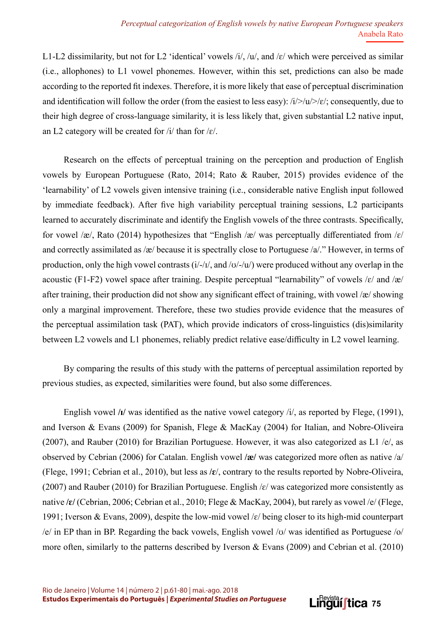L1-L2 dissimilarity, but not for L2 'identical' vowels  $\frac{1}{\sqrt{u}}$ , and  $\frac{\epsilon}{v}$  which were perceived as similar (i.e., allophones) to L1 vowel phonemes. However, within this set, predictions can also be made according to the reported fit indexes. Therefore, it is more likely that ease of perceptual discrimination and identification will follow the order (from the easiest to less easy):  $\frac{i}{>}\sqrt{u}>|u|$ ; consequently, due to their high degree of cross-language similarity, it is less likely that, given substantial L2 native input, an L2 category will be created for  $/i$  than for  $/\varepsilon$ .

Research on the effects of perceptual training on the perception and production of English vowels by European Portuguese (Rato, 2014; Rato & Rauber, 2015) provides evidence of the 'learnability' of L2 vowels given intensive training (i.e., considerable native English input followed by immediate feedback). After five high variability perceptual training sessions, L2 participants learned to accurately discriminate and identify the English vowels of the three contrasts. Specifically, for vowel /æ/, Rato (2014) hypothesizes that "English /æ/ was perceptually differentiated from / $\varepsilon$ / and correctly assimilated as /æ/ because it is spectrally close to Portuguese /a/." However, in terms of production, only the high vowel contrasts  $(i/-/1/$ , and  $\frac{1}{v}$  were produced without any overlap in the acoustic (F1-F2) vowel space after training. Despite perceptual "learnability" of vowels  $\kappa$  and  $\alpha$ after training, their production did not show any significant effect of training, with vowel /æ/ showing only a marginal improvement. Therefore, these two studies provide evidence that the measures of the perceptual assimilation task (PAT), which provide indicators of cross-linguistics (dis)similarity between L2 vowels and L1 phonemes, reliably predict relative ease/difficulty in L2 vowel learning.

By comparing the results of this study with the patterns of perceptual assimilation reported by previous studies, as expected, similarities were found, but also some differences.

English vowel **/ɪ/** was identified as the native vowel category /i/, as reported by Flege, (1991), and Iverson & Evans (2009) for Spanish, Flege & MacKay (2004) for Italian, and Nobre-Oliveira (2007), and Rauber (2010) for Brazilian Portuguese. However, it was also categorized as L1 /e/, as observed by Cebrian (2006) for Catalan. English vowel **/æ/** was categorized more often as native /a/ (Flege, 1991; Cebrian et al., 2010), but less as **/ɛ**/, contrary to the results reported by Nobre-Oliveira, (2007) and Rauber (2010) for Brazilian Portuguese. English  $\varepsilon$  was categorized more consistently as native **/ɛ/** (Cebrian, 2006; Cebrian et al., 2010; Flege & MacKay, 2004), but rarely as vowel /e/ (Flege, 1991; Iverson & Evans, 2009), despite the low-mid vowel /ɛ/ being closer to its high-mid counterpart /e/ in EP than in BP. Regarding the back vowels, English vowel /ʊ/ was identified as Portuguese /o/ more often, similarly to the patterns described by Iverson & Evans (2009) and Cebrian et al. (2010)

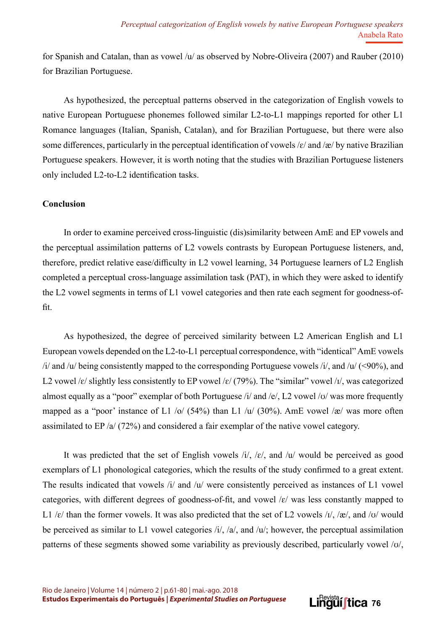for Spanish and Catalan, than as vowel  $/u$  as observed by Nobre-Oliveira (2007) and Rauber (2010) for Brazilian Portuguese.

As hypothesized, the perceptual patterns observed in the categorization of English vowels to native European Portuguese phonemes followed similar L2-to-L1 mappings reported for other L1 Romance languages (Italian, Spanish, Catalan), and for Brazilian Portuguese, but there were also some differences, particularly in the perceptual identification of vowels  $/\varepsilon$  and  $/\varepsilon$  by native Brazilian Portuguese speakers. However, it is worth noting that the studies with Brazilian Portuguese listeners only included L2-to-L2 identification tasks.

### **Conclusion**

In order to examine perceived cross-linguistic (dis)similarity between AmE and EP vowels and the perceptual assimilation patterns of L2 vowels contrasts by European Portuguese listeners, and, therefore, predict relative ease/difficulty in L2 vowel learning, 34 Portuguese learners of L2 English completed a perceptual cross-language assimilation task (PAT), in which they were asked to identify the L2 vowel segments in terms of L1 vowel categories and then rate each segment for goodness-offit.

As hypothesized, the degree of perceived similarity between L2 American English and L1 European vowels depended on the L2-to-L1 perceptual correspondence, with "identical" AmE vowels /i/ and /u/ being consistently mapped to the corresponding Portuguese vowels /i/, and /u/ (<90%), and L2 vowel / $\varepsilon$ / slightly less consistently to EP vowel / $\varepsilon$ / (79%). The "similar" vowel / $I$ /, was categorized almost equally as a "poor" exemplar of both Portuguese /i/ and /e/, L2 vowel /ʊ/ was more frequently mapped as a "poor" instance of L1 /o/ (54%) than L1 /u/ (30%). AmE vowel /æ/ was more often assimilated to EP /a/ (72%) and considered a fair exemplar of the native vowel category.

It was predicted that the set of English vowels  $\frac{1}{i}$ ,  $\frac{1}{\epsilon}$ , and  $\frac{1}{u}$  would be perceived as good exemplars of L1 phonological categories, which the results of the study confirmed to a great extent. The results indicated that vowels  $\pi/$  and  $\pi/$  were consistently perceived as instances of L1 vowel categories, with different degrees of goodness-of-fit, and vowel  $\ell$  was less constantly mapped to L1 / $\varepsilon$ / than the former vowels. It was also predicted that the set of L2 vowels / $\iota$ /, /æ/, and / $\iota$ / would be perceived as similar to L1 vowel categories /i/, /a/, and /u/; however, the perceptual assimilation patterns of these segments showed some variability as previously described, particularly vowel /ʊ/,

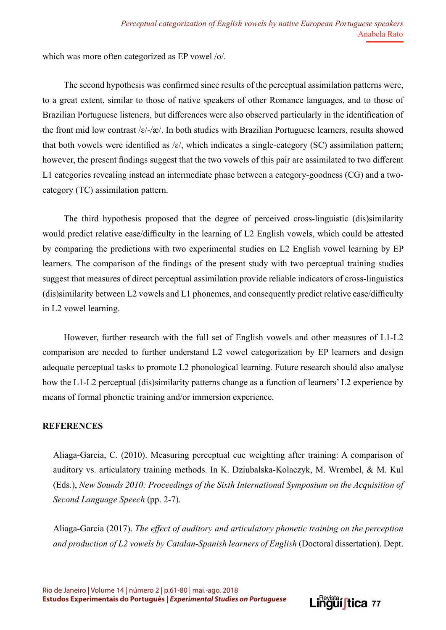which was more often categorized as EP vowel /o/.

The second hypothesis was confirmed since results of the perceptual assimilation patterns were, to a great extent, similar to those of native speakers of other Romance languages, and to those of Brazilian Portuguese listeners, but differences were also observed particularly in the identification of the front mid low contrast /ɛ/-/æ/. In both studies with Brazilian Portuguese learners, results showed that both vowels were identified as  $\sqrt{\epsilon}$ , which indicates a single-category (SC) assimilation pattern; however, the present findings suggest that the two vowels of this pair are assimilated to two different L1 categories revealing instead an intermediate phase between a category-goodness (CG) and a twocategory (TC) assimilation pattern.

The third hypothesis proposed that the degree of perceived cross-linguistic (dis)similarity would predict relative ease/difficulty in the learning of L2 English vowels, which could be attested by comparing the predictions with two experimental studies on L2 English vowel learning by EP learners. The comparison of the findings of the present study with two perceptual training studies suggest that measures of direct perceptual assimilation provide reliable indicators of cross-linguistics (dis)similarity between L2 vowels and L1 phonemes, and consequently predict relative ease/difficulty in L2 vowel learning.

However, further research with the full set of English vowels and other measures of L1-L2 comparison are needed to further understand L2 vowel categorization by EP learners and design adequate perceptual tasks to promote L2 phonological learning. Future research should also analyse how the L1-L2 perceptual (dis)similarity patterns change as a function of learners' L2 experience by means of formal phonetic training and/or immersion experience.

### **REFERENCES**

Aliaga-Garcia, C. (2010). Measuring perceptual cue weighting after training: A comparison of auditory vs. articulatory training methods. In K. Dziubalska-Kołaczyk, M. Wrembel, & M. Kul (Eds.), *New Sounds 2010: Proceedings of the Sixth International Symposium on the Acquisition of Second Language Speech* (pp. 2-7).

Aliaga-Garcia (2017). *The effect of auditory and articulatory phonetic training on the perception and production of L2 vowels by Catalan-Spanish learners of English* (Doctoral dissertation). Dept.

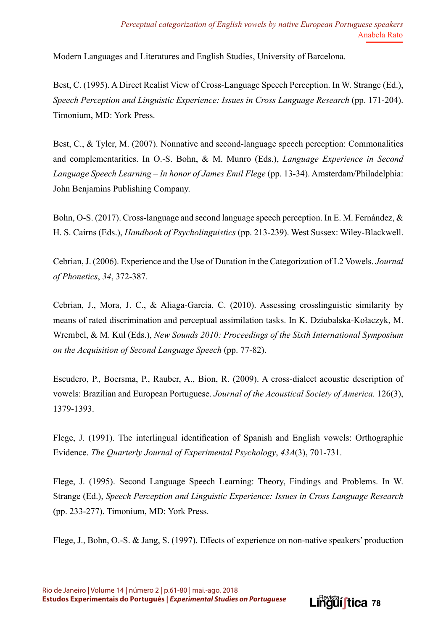Modern Languages and Literatures and English Studies, University of Barcelona.

Best, C. (1995). A Direct Realist View of Cross-Language Speech Perception. In W. Strange (Ed.), *Speech Perception and Linguistic Experience: Issues in Cross Language Research* (pp. 171-204). Timonium, MD: York Press.

Best, C., & Tyler, M. (2007). Nonnative and second-language speech perception: Commonalities and complementarities. In O.-S. Bohn, & M. Munro (Eds.), *Language Experience in Second Language Speech Learning – In honor of James Emil Flege* (pp. 13-34). Amsterdam/Philadelphia: John Benjamins Publishing Company.

Bohn, O-S. (2017). Cross-language and second language speech perception. In E. M. Fernández, & H. S. Cairns (Eds.), *Handbook of Psycholinguistics* (pp. 213-239). West Sussex: Wiley-Blackwell.

Cebrian, J. (2006). Experience and the Use of Duration in the Categorization of L2 Vowels. *Journal of Phonetics*, *34*, 372-387.

Cebrian, J., Mora, J. C., & Aliaga-Garcia, C. (2010). Assessing crosslinguistic similarity by means of rated discrimination and perceptual assimilation tasks. In K. Dziubalska-Kołaczyk, M. Wrembel, & M. Kul (Eds.), *New Sounds 2010: Proceedings of the Sixth International Symposium on the Acquisition of Second Language Speech* (pp. 77-82).

Escudero, P., Boersma, P., Rauber, A., Bion, R. (2009). A cross-dialect acoustic description of vowels: Brazilian and European Portuguese. *Journal of the Acoustical Society of America.* 126(3), 1379-1393.

Flege, J. (1991). The interlingual identification of Spanish and English vowels: Orthographic Evidence. *The Quarterly Journal of Experimental Psychology*, *43A*(3), 701-731.

Flege, J. (1995). Second Language Speech Learning: Theory, Findings and Problems. In W. Strange (Ed.), *Speech Perception and Linguistic Experience: Issues in Cross Language Research* (pp. 233-277). Timonium, MD: York Press.

Flege, J., Bohn, O.-S. & Jang, S. (1997). Effects of experience on non-native speakers' production

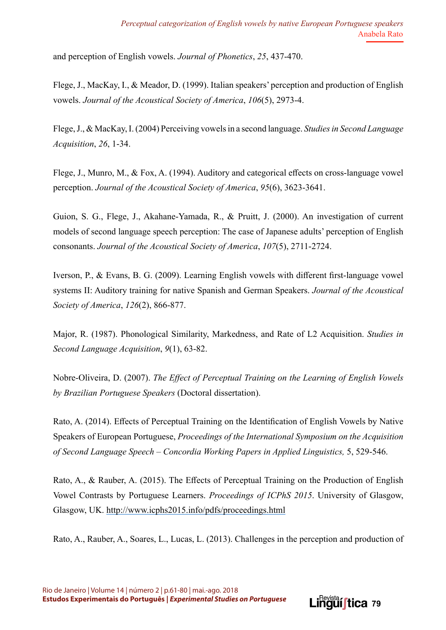and perception of English vowels. *Journal of Phonetics*, *25*, 437-470.

Flege, J., MacKay, I., & Meador, D. (1999). Italian speakers' perception and production of English vowels. *Journal of the Acoustical Society of America*, *106*(5), 2973-4.

Flege, J., & MacKay, I. (2004) Perceiving vowels in a second language. *Studies in Second Language Acquisition*, *26*, 1-34.

Flege, J., Munro, M., & Fox, A. (1994). Auditory and categorical effects on cross-language vowel perception. *Journal of the Acoustical Society of America*, *95*(6), 3623-3641.

Guion, S. G., Flege, J., Akahane-Yamada, R., & Pruitt, J. (2000). An investigation of current models of second language speech perception: The case of Japanese adults' perception of English consonants. *Journal of the Acoustical Society of America*, *107*(5), 2711-2724.

Iverson, P., & Evans, B. G. (2009). Learning English vowels with different first-language vowel systems II: Auditory training for native Spanish and German Speakers. *Journal of the Acoustical Society of America*, *126*(2), 866-877.

Major, R. (1987). Phonological Similarity, Markedness, and Rate of L2 Acquisition. *Studies in Second Language Acquisition*, *9*(1), 63-82.

Nobre-Oliveira, D. (2007). *The Effect of Perceptual Training on the Learning of English Vowels by Brazilian Portuguese Speakers* (Doctoral dissertation).

Rato, A. (2014). Effects of Perceptual Training on the Identification of English Vowels by Native Speakers of European Portuguese, *Proceedings of the International Symposium on the Acquisition of Second Language Speech – Concordia Working Papers in Applied Linguistics,* 5, 529-546.

Rato, A., & Rauber, A. (2015). The Effects of Perceptual Training on the Production of English Vowel Contrasts by Portuguese Learners. *Proceedings of ICPhS 2015*. University of Glasgow, Glasgow, UK. <http://www.icphs2015.info/pdfs/proceedings.html>

Rato, A., Rauber, A., Soares, L., Lucas, L. (2013). Challenges in the perception and production of